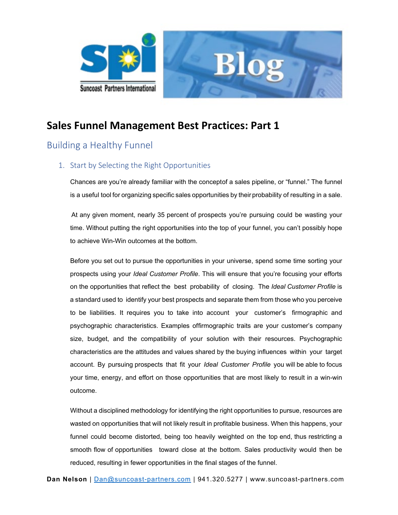



## **Sales Funnel Management Best Practices: Part 1**

## Building a Healthy Funnel

## 1. Start by Selecting the Right Opportunities

Chances are you're already familiar with the conceptof a sales pipeline, or "funnel." The funnel is a useful tool for organizing specific sales opportunities by their probability of resulting in a sale.

At any given moment, nearly 35 percent of prospects you're pursuing could be wasting your time. Without putting the right opportunities into the top of your funnel, you can't possibly hope to achieve Win-Win outcomes at the bottom.

Before you set out to pursue the opportunities in your universe, spend some time sorting your prospects using your *Ideal Customer Profile*. This will ensure that you're focusing your efforts on the opportunities that reflect the best probability of closing. The *Ideal Customer Profile* is a standard used to identify your best prospects and separate them from those who you perceive to be liabilities. It requires you to take into account your customer's firmographic and psychographic characteristics. Examples offirmographic traits are your customer's company size, budget, and the compatibility of your solution with their resources. Psychographic characteristics are the attitudes and values shared by the buying influences within your target account. By pursuing prospects that fit your *Ideal Customer Profile* you will be able to focus your time, energy, and effort on those opportunities that are most likely to result in a win-win outcome.

Without a disciplined methodology for identifying the right opportunities to pursue, resources are wasted on opportunities that will not likely result in profitable business. When this happens, your funnel could become distorted, being too heavily weighted on the top end, thus restricting a smooth flow of opportunities toward close at the bottom. Sales productivity would then be reduced, resulting in fewer opportunities in the final stages of the funnel.

**Dan Nelson** | [Dan@suncoast-partners.com](mailto:Dan@suncoast-partners.com) | 941.320.5277 | www.suncoast-partners.com